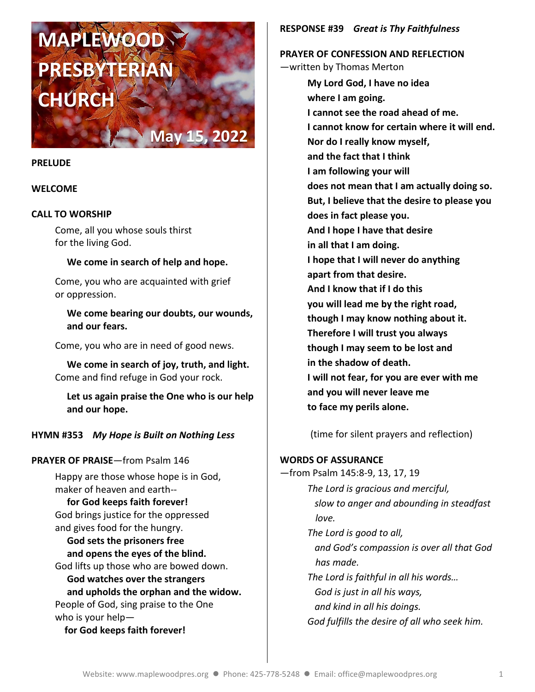# **MAPLEWOOD PRESBYTERIAN CHÚRC**

#### **PRELUDE**

#### **WELCOME**

## **CALL TO WORSHIP**

Come, all you whose souls thirst for the living God.

## **We come in search of help and hope.**

**May 15, 2022**

Come, you who are acquainted with grief or oppression.

 **We come bearing our doubts, our wounds, and our fears.**

Come, you who are in need of good news.

**We come in search of joy, truth, and light.** Come and find refuge in God your rock.

**Let us again praise the One who is our help and our hope.**

## **HYMN #353** *My Hope is Built on Nothing Less*

## **PRAYER OF PRAISE**—from Psalm 146

Happy are those whose hope is in God, maker of heaven and earth--

 **for God keeps faith forever!** God brings justice for the oppressed and gives food for the hungry.

 **God sets the prisoners free and opens the eyes of the blind.** God lifts up those who are bowed down.  **God watches over the strangers and upholds the orphan and the widow.** People of God, sing praise to the One who is your help  **for God keeps faith forever!**

## **RESPONSE #39** *Great is Thy Faithfulness*

**PRAYER OF CONFESSION AND REFLECTION** —written by Thomas Merton

> **My Lord God, I have no idea where I am going. I cannot see the road ahead of me. I cannot know for certain where it will end. Nor do I really know myself, and the fact that I think I am following your will does not mean that I am actually doing so. But, I believe that the desire to please you does in fact please you. And I hope I have that desire in all that I am doing. I hope that I will never do anything apart from that desire. And I know that if I do this you will lead me by the right road, though I may know nothing about it. Therefore I will trust you always though I may seem to be lost and in the shadow of death. I will not fear, for you are ever with me and you will never leave me to face my perils alone.**

(time for silent prayers and reflection)

## **WORDS OF ASSURANCE**

—from Psalm 145:8-9, 13, 17, 19 *The Lord is gracious and merciful, slow to anger and abounding in steadfast love. The Lord is good to all, and God's compassion is over all that God has made. The Lord is faithful in all his words… God is just in all his ways, and kind in all his doings. God fulfills the desire of all who seek him.*